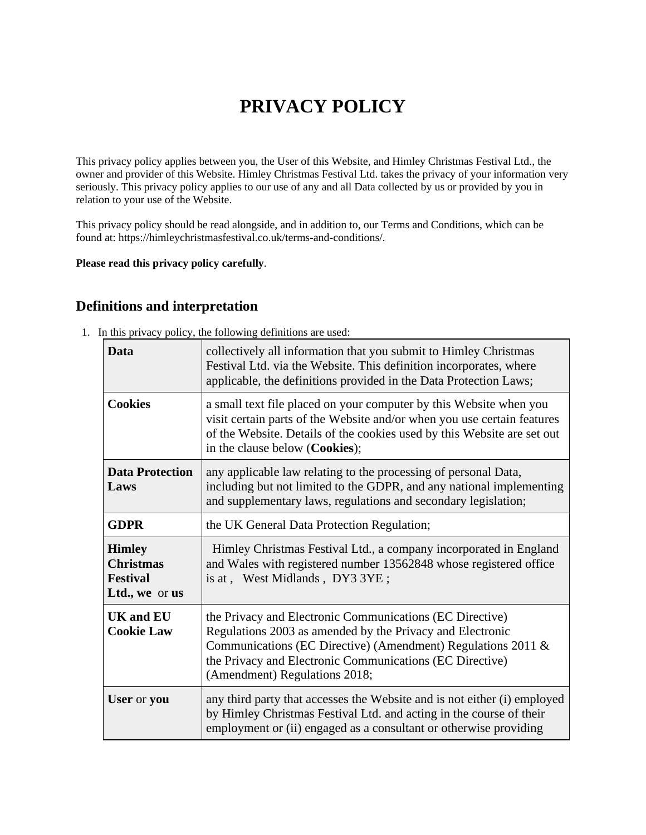# **PRIVACY POLICY**

This privacy policy applies between you, the User of this Website, and Himley Christmas Festival Ltd., the owner and provider of this Website. Himley Christmas Festival Ltd. takes the privacy of your information very seriously. This privacy policy applies to our use of any and all Data collected by us or provided by you in relation to your use of the Website.

This privacy policy should be read alongside, and in addition to, our Terms and Conditions, which can be found at: https://himleychristmasfestival.co.uk/terms-and-conditions/.

#### **Please read this privacy policy carefully**.

## **Definitions and interpretation**

1. In this privacy policy, the following definitions are used:

| Data                                                                   | collectively all information that you submit to Himley Christmas<br>Festival Ltd. via the Website. This definition incorporates, where<br>applicable, the definitions provided in the Data Protection Laws;                                                                        |
|------------------------------------------------------------------------|------------------------------------------------------------------------------------------------------------------------------------------------------------------------------------------------------------------------------------------------------------------------------------|
| <b>Cookies</b>                                                         | a small text file placed on your computer by this Website when you<br>visit certain parts of the Website and/or when you use certain features<br>of the Website. Details of the cookies used by this Website are set out<br>in the clause below (Cookies);                         |
| <b>Data Protection</b><br>Laws                                         | any applicable law relating to the processing of personal Data,<br>including but not limited to the GDPR, and any national implementing<br>and supplementary laws, regulations and secondary legislation;                                                                          |
| <b>GDPR</b>                                                            | the UK General Data Protection Regulation;                                                                                                                                                                                                                                         |
| <b>Himley</b><br><b>Christmas</b><br><b>Festival</b><br>Ltd., we or us | Himley Christmas Festival Ltd., a company incorporated in England<br>and Wales with registered number 13562848 whose registered office<br>is at, West Midlands, DY3 3YE;                                                                                                           |
| <b>UK and EU</b><br><b>Cookie Law</b>                                  | the Privacy and Electronic Communications (EC Directive)<br>Regulations 2003 as amended by the Privacy and Electronic<br>Communications (EC Directive) (Amendment) Regulations 2011 &<br>the Privacy and Electronic Communications (EC Directive)<br>(Amendment) Regulations 2018; |
| User or you                                                            | any third party that accesses the Website and is not either (i) employed<br>by Himley Christmas Festival Ltd. and acting in the course of their<br>employment or (ii) engaged as a consultant or otherwise providing                                                               |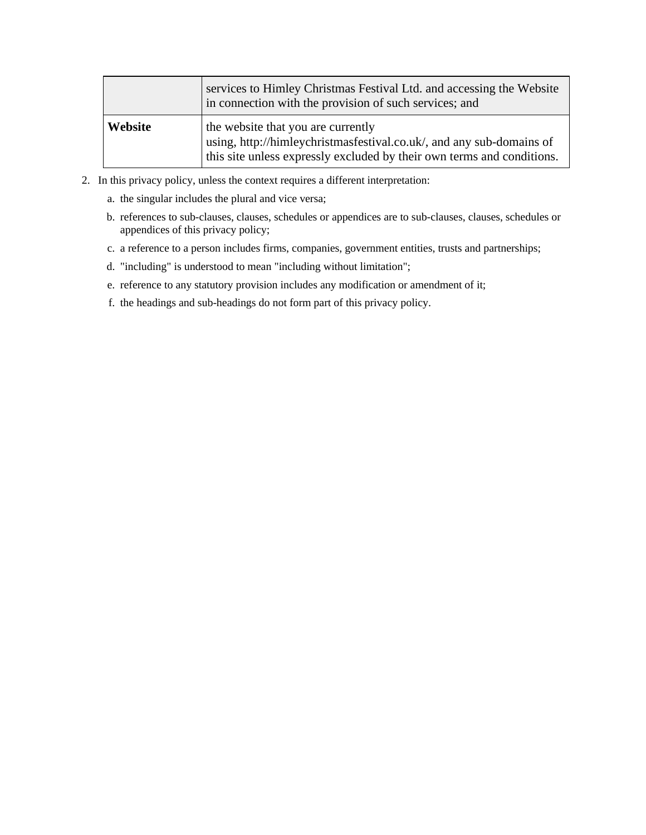|         | services to Himley Christmas Festival Ltd. and accessing the Website<br>in connection with the provision of such services; and                                                       |
|---------|--------------------------------------------------------------------------------------------------------------------------------------------------------------------------------------|
| Website | the website that you are currently<br>using, http://himleychristmasfestival.co.uk/, and any sub-domains of<br>this site unless expressly excluded by their own terms and conditions. |

- 2. In this privacy policy, unless the context requires a different interpretation:
	- a. the singular includes the plural and vice versa;
	- b. references to sub-clauses, clauses, schedules or appendices are to sub-clauses, clauses, schedules or appendices of this privacy policy;
	- c. a reference to a person includes firms, companies, government entities, trusts and partnerships;
	- d. "including" is understood to mean "including without limitation";
	- e. reference to any statutory provision includes any modification or amendment of it;
	- f. the headings and sub-headings do not form part of this privacy policy.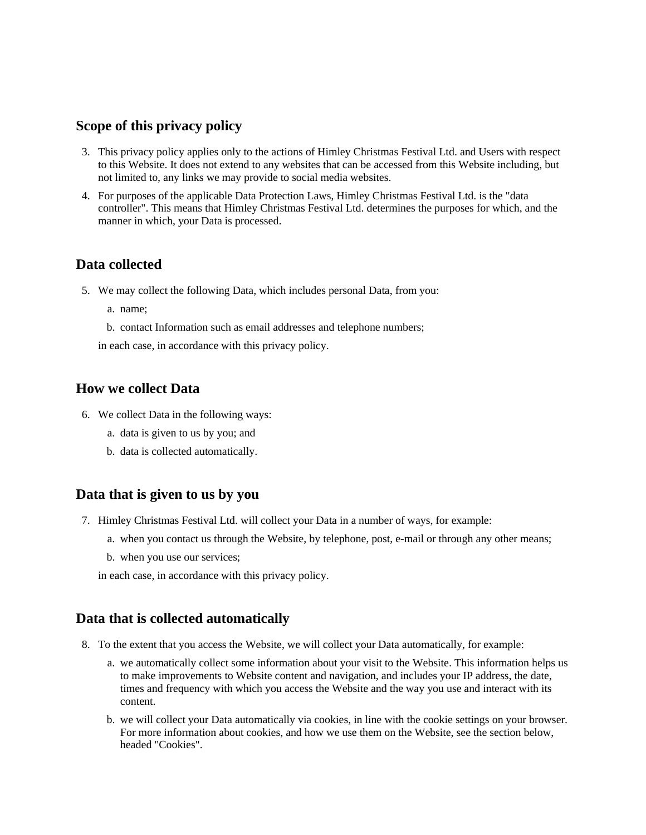## **Scope of this privacy policy**

- 3. This privacy policy applies only to the actions of Himley Christmas Festival Ltd. and Users with respect to this Website. It does not extend to any websites that can be accessed from this Website including, but not limited to, any links we may provide to social media websites.
- 4. For purposes of the applicable Data Protection Laws, Himley Christmas Festival Ltd. is the "data controller". This means that Himley Christmas Festival Ltd. determines the purposes for which, and the manner in which, your Data is processed.

## **Data collected**

- 5. We may collect the following Data, which includes personal Data, from you:
	- a. name;
	- b. contact Information such as email addresses and telephone numbers;

in each case, in accordance with this privacy policy.

#### **How we collect Data**

- 6. We collect Data in the following ways:
	- a. data is given to us by you; and
	- b. data is collected automatically.

#### **Data that is given to us by you**

- 7. Himley Christmas Festival Ltd. will collect your Data in a number of ways, for example:
	- a. when you contact us through the Website, by telephone, post, e-mail or through any other means;
	- b. when you use our services;

in each case, in accordance with this privacy policy.

## **Data that is collected automatically**

- 8. To the extent that you access the Website, we will collect your Data automatically, for example:
	- a. we automatically collect some information about your visit to the Website. This information helps us to make improvements to Website content and navigation, and includes your IP address, the date, times and frequency with which you access the Website and the way you use and interact with its content.
	- b. we will collect your Data automatically via cookies, in line with the cookie settings on your browser. For more information about cookies, and how we use them on the Website, see the section below, headed "Cookies".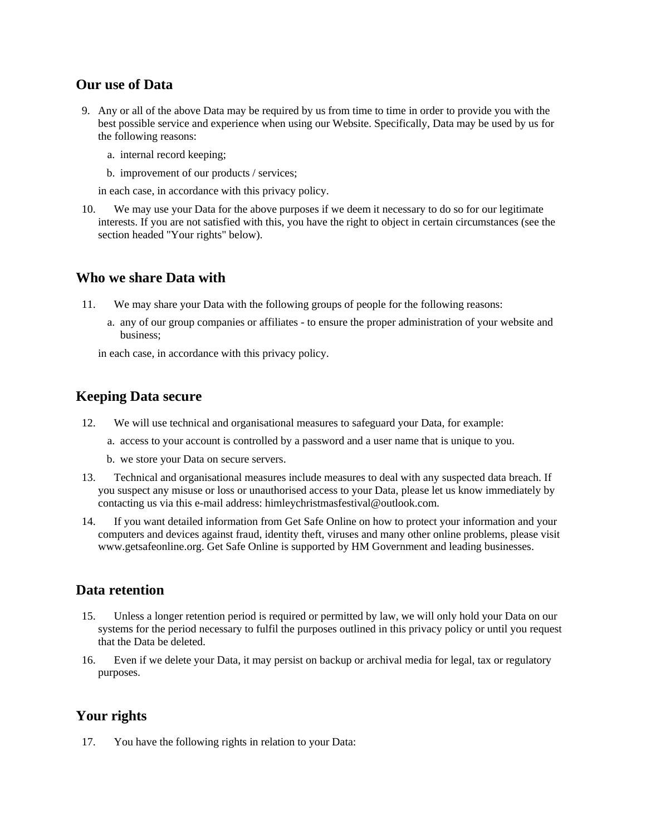## **Our use of Data**

- 9. Any or all of the above Data may be required by us from time to time in order to provide you with the best possible service and experience when using our Website. Specifically, Data may be used by us for the following reasons:
	- a. internal record keeping;
	- b. improvement of our products / services;

in each case, in accordance with this privacy policy.

10. We may use your Data for the above purposes if we deem it necessary to do so for our legitimate interests. If you are not satisfied with this, you have the right to object in certain circumstances (see the section headed "Your rights" below).

#### **Who we share Data with**

- 11. We may share your Data with the following groups of people for the following reasons:
	- a. any of our group companies or affiliates to ensure the proper administration of your website and business;

in each case, in accordance with this privacy policy.

# **Keeping Data secure**

- 12. We will use technical and organisational measures to safeguard your Data, for example:
	- a. access to your account is controlled by a password and a user name that is unique to you.
	- b. we store your Data on secure servers.
- 13. Technical and organisational measures include measures to deal with any suspected data breach. If you suspect any misuse or loss or unauthorised access to your Data, please let us know immediately by contacting us via this e-mail address: himleychristmasfestival@outlook.com.
- 14. If you want detailed information from Get Safe Online on how to protect your information and your computers and devices against fraud, identity theft, viruses and many other online problems, please visit www.getsafeonline.org. Get Safe Online is supported by HM Government and leading businesses.

# **Data retention**

- 15. Unless a longer retention period is required or permitted by law, we will only hold your Data on our systems for the period necessary to fulfil the purposes outlined in this privacy policy or until you request that the Data be deleted.
- 16. Even if we delete your Data, it may persist on backup or archival media for legal, tax or regulatory purposes.

# **Your rights**

17. You have the following rights in relation to your Data: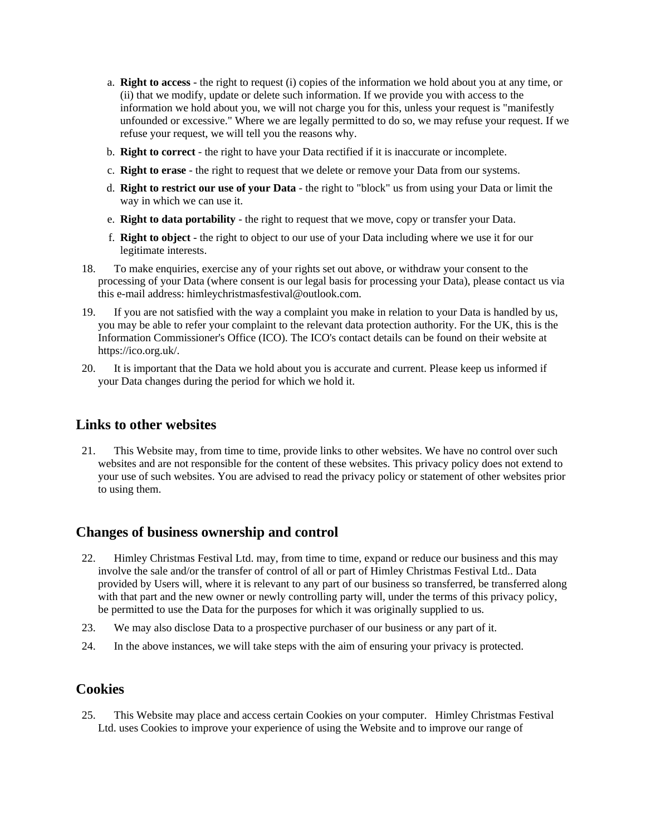- a. **Right to access** the right to request (i) copies of the information we hold about you at any time, or (ii) that we modify, update or delete such information. If we provide you with access to the information we hold about you, we will not charge you for this, unless your request is "manifestly unfounded or excessive." Where we are legally permitted to do so, we may refuse your request. If we refuse your request, we will tell you the reasons why.
- b. **Right to correct** the right to have your Data rectified if it is inaccurate or incomplete.
- c. **Right to erase** the right to request that we delete or remove your Data from our systems.
- d. **Right to restrict our use of your Data** the right to "block" us from using your Data or limit the way in which we can use it.
- e. **Right to data portability** the right to request that we move, copy or transfer your Data.
- f. **Right to object** the right to object to our use of your Data including where we use it for our legitimate interests.
- 18. To make enquiries, exercise any of your rights set out above, or withdraw your consent to the processing of your Data (where consent is our legal basis for processing your Data), please contact us via this e-mail address: himleychristmasfestival@outlook.com.
- 19. If you are not satisfied with the way a complaint you make in relation to your Data is handled by us, you may be able to refer your complaint to the relevant data protection authority. For the UK, this is the Information Commissioner's Office (ICO). The ICO's contact details can be found on their website at https://ico.org.uk/.
- 20. It is important that the Data we hold about you is accurate and current. Please keep us informed if your Data changes during the period for which we hold it.

### **Links to other websites**

21. This Website may, from time to time, provide links to other websites. We have no control over such websites and are not responsible for the content of these websites. This privacy policy does not extend to your use of such websites. You are advised to read the privacy policy or statement of other websites prior to using them.

## **Changes of business ownership and control**

- 22. Himley Christmas Festival Ltd. may, from time to time, expand or reduce our business and this may involve the sale and/or the transfer of control of all or part of Himley Christmas Festival Ltd.. Data provided by Users will, where it is relevant to any part of our business so transferred, be transferred along with that part and the new owner or newly controlling party will, under the terms of this privacy policy, be permitted to use the Data for the purposes for which it was originally supplied to us.
- 23. We may also disclose Data to a prospective purchaser of our business or any part of it.
- 24. In the above instances, we will take steps with the aim of ensuring your privacy is protected.

#### **Cookies**

25. This Website may place and access certain Cookies on your computer. Himley Christmas Festival Ltd. uses Cookies to improve your experience of using the Website and to improve our range of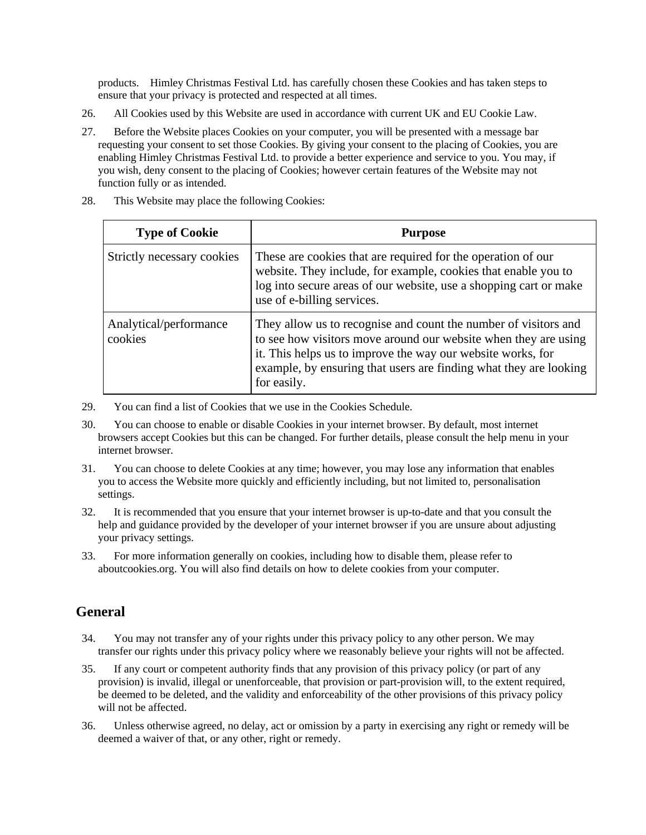products. Himley Christmas Festival Ltd. has carefully chosen these Cookies and has taken steps to ensure that your privacy is protected and respected at all times.

- 26. All Cookies used by this Website are used in accordance with current UK and EU Cookie Law.
- 27. Before the Website places Cookies on your computer, you will be presented with a message bar requesting your consent to set those Cookies. By giving your consent to the placing of Cookies, you are enabling Himley Christmas Festival Ltd. to provide a better experience and service to you. You may, if you wish, deny consent to the placing of Cookies; however certain features of the Website may not function fully or as intended.

| <b>Type of Cookie</b>             | <b>Purpose</b>                                                                                                                                                                                                                                                                        |
|-----------------------------------|---------------------------------------------------------------------------------------------------------------------------------------------------------------------------------------------------------------------------------------------------------------------------------------|
| Strictly necessary cookies        | These are cookies that are required for the operation of our<br>website. They include, for example, cookies that enable you to<br>log into secure areas of our website, use a shopping cart or make<br>use of e-billing services.                                                     |
| Analytical/performance<br>cookies | They allow us to recognise and count the number of visitors and<br>to see how visitors move around our website when they are using<br>it. This helps us to improve the way our website works, for<br>example, by ensuring that users are finding what they are looking<br>for easily. |

28. This Website may place the following Cookies:

- 29. You can find a list of Cookies that we use in the Cookies Schedule.
- 30. You can choose to enable or disable Cookies in your internet browser. By default, most internet browsers accept Cookies but this can be changed. For further details, please consult the help menu in your internet browser.
- 31. You can choose to delete Cookies at any time; however, you may lose any information that enables you to access the Website more quickly and efficiently including, but not limited to, personalisation settings.
- 32. It is recommended that you ensure that your internet browser is up-to-date and that you consult the help and guidance provided by the developer of your internet browser if you are unsure about adjusting your privacy settings.
- 33. For more information generally on cookies, including how to disable them, please refer to aboutcookies.org. You will also find details on how to delete cookies from your computer.

# **General**

- 34. You may not transfer any of your rights under this privacy policy to any other person. We may transfer our rights under this privacy policy where we reasonably believe your rights will not be affected.
- 35. If any court or competent authority finds that any provision of this privacy policy (or part of any provision) is invalid, illegal or unenforceable, that provision or part-provision will, to the extent required, be deemed to be deleted, and the validity and enforceability of the other provisions of this privacy policy will not be affected.
- 36. Unless otherwise agreed, no delay, act or omission by a party in exercising any right or remedy will be deemed a waiver of that, or any other, right or remedy.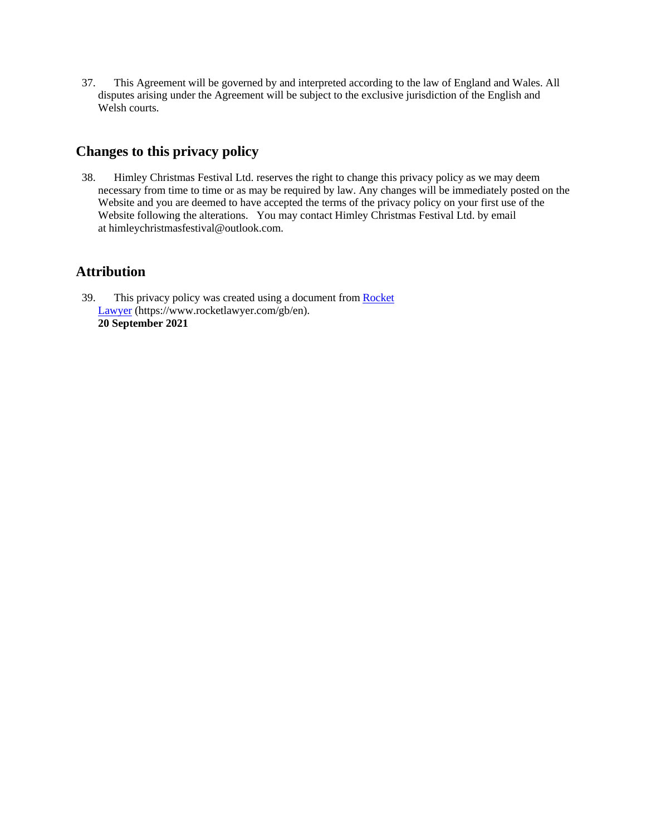37. This Agreement will be governed by and interpreted according to the law of England and Wales. All disputes arising under the Agreement will be subject to the exclusive jurisdiction of the English and Welsh courts.

# **Changes to this privacy policy**

38. Himley Christmas Festival Ltd. reserves the right to change this privacy policy as we may deem necessary from time to time or as may be required by law. Any changes will be immediately posted on the Website and you are deemed to have accepted the terms of the privacy policy on your first use of the Website following the alterations. You may contact Himley Christmas Festival Ltd. by email at himleychristmasfestival@outlook.com.

# **Attribution**

39. This privacy policy was created using a document from [Rocket](https://www.rocketlawyer.com/gb/en/)  [Lawyer](https://www.rocketlawyer.com/gb/en/) (https://www.rocketlawyer.com/gb/en). **20 September 2021**